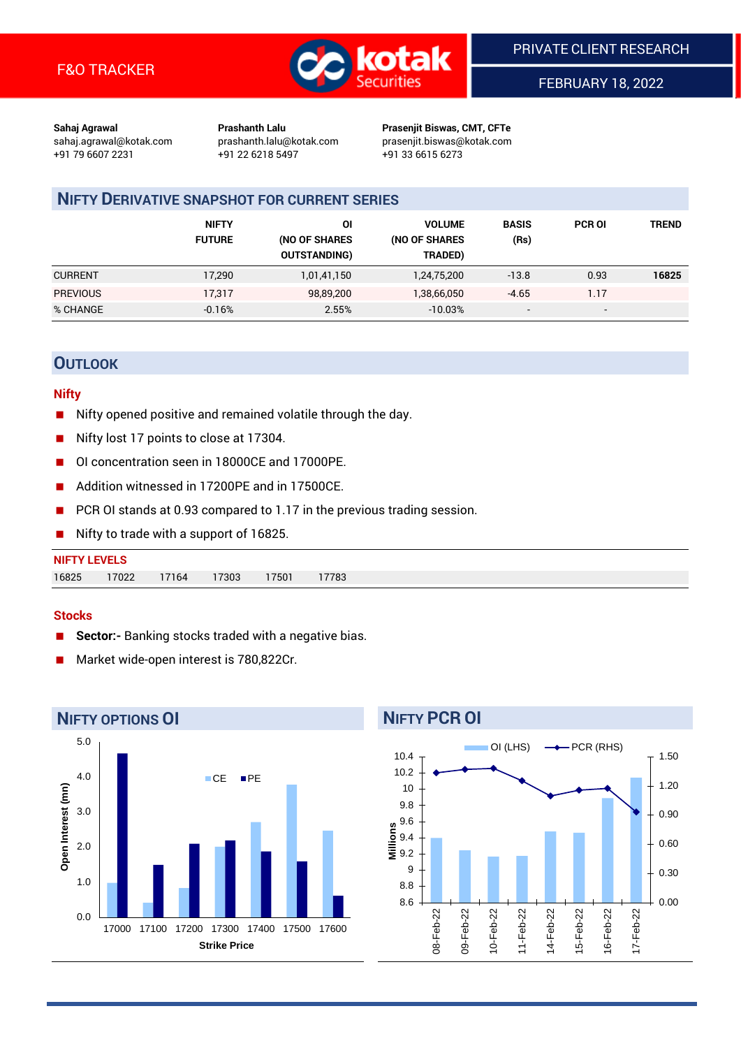

FEBRUARY 18, 2022

**Sahaj Agrawal Prashanth Lalu Prasenjit Biswas, CMT, CFTe** +91 79 6607 2231 +91 22 6218 5497 +91 33 6615 6273

sahaj.agrawal@kotak.com [prashanth.lalu@kotak.com](mailto:prashanth.lalu@kotak.com) prasenjit.biswas@kotak.com

# **NIFTY DERIVATIVE SNAPSHOT FOR CURRENT SERIES**

|                 | <b>NIFTY</b><br><b>FUTURE</b> | ΟI<br>(NO OF SHARES<br><b>OUTSTANDING)</b> | <b>VOLUME</b><br>(NO OF SHARES<br>TRADED) | <b>BASIS</b><br>(Rs)     | <b>PCR OI</b>            | TREND |
|-----------------|-------------------------------|--------------------------------------------|-------------------------------------------|--------------------------|--------------------------|-------|
| <b>CURRENT</b>  | 17,290                        | 1,01,41,150                                | 1,24,75,200                               | $-13.8$                  | 0.93                     | 16825 |
| <b>PREVIOUS</b> | 17,317                        | 98,89,200                                  | 1,38,66,050                               | $-4.65$                  | 1.17                     |       |
| % CHANGE        | $-0.16%$                      | 2.55%                                      | $-10.03%$                                 | $\overline{\phantom{a}}$ | $\overline{\phantom{a}}$ |       |

## **OUTLOOK**

#### **Nifty**

- Nifty opened positive and remained volatile through the day.
- Nifty lost 17 points to close at 17304.
- OI concentration seen in 18000CE and 17000PE.
- Addition witnessed in 17200PE and in 17500CE.
- PCR OI stands at 0.93 compared to 1.17 in the previous trading session.
- Nifty to trade with a support of 16825.

#### **Stocks**

- **Sector:-** Banking stocks traded with a negative bias.
- Market wide-open interest is 780,822Cr.



# **NIFTY PCR OI**

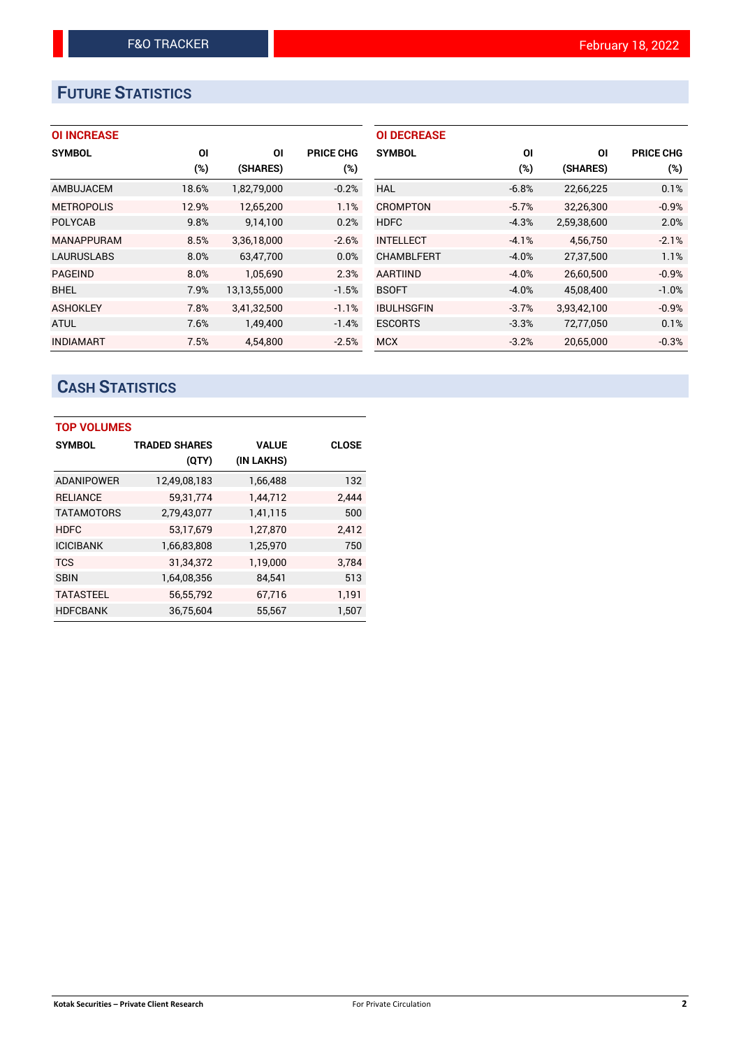# **FUTURE STATISTICS**

## **OI INCREASE**

| <b>SYMBOL</b>     | ΟI    | ΟI           | <b>PRICE CHG</b> |
|-------------------|-------|--------------|------------------|
|                   | (%)   | (SHARES)     | (%)              |
| AMBUJACEM         | 18.6% | 1,82,79,000  | $-0.2%$          |
| <b>METROPOLIS</b> | 12.9% | 12,65,200    | 1.1%             |
| <b>POLYCAB</b>    | 9.8%  | 9,14,100     | 0.2%             |
| <b>MANAPPURAM</b> | 8.5%  | 3,36,18,000  | $-2.6%$          |
| <b>LAURUSLABS</b> | 8.0%  | 63,47,700    | 0.0%             |
| <b>PAGEIND</b>    | 8.0%  | 1.05.690     | 2.3%             |
| <b>BHEL</b>       | 7.9%  | 13,13,55,000 | $-1.5%$          |
| <b>ASHOKLEY</b>   | 7.8%  | 3,41,32,500  | $-1.1%$          |
| <b>ATUL</b>       | 7.6%  | 1,49,400     | $-1.4%$          |
| <b>INDIAMART</b>  | 7.5%  | 4.54.800     | $-2.5%$          |

| <b>OI DECREASE</b> |         |             |                  |
|--------------------|---------|-------------|------------------|
| <b>SYMBOL</b>      | ΟI      | ΟI          | <b>PRICE CHG</b> |
|                    | (%)     | (SHARES)    | (%)              |
| <b>HAL</b>         | $-6.8%$ | 22,66,225   | 0.1%             |
| CROMPTON           | $-5.7%$ | 32,26,300   | $-0.9%$          |
| <b>HDFC</b>        | $-4.3%$ | 2,59,38,600 | 2.0%             |
| <b>INTELLECT</b>   | $-4.1%$ | 4.56.750    | $-2.1%$          |
| <b>CHAMBLFERT</b>  | $-4.0%$ | 27,37,500   | 1.1%             |
| <b>AARTIIND</b>    | $-4.0%$ | 26,60,500   | $-0.9%$          |
| <b>BSOFT</b>       | $-4.0%$ | 45,08,400   | $-1.0%$          |
| <b>IBULHSGFIN</b>  | $-3.7%$ | 3,93,42,100 | $-0.9%$          |
| <b>ESCORTS</b>     | $-3.3%$ | 72,77,050   | 0.1%             |
| <b>MCX</b>         | $-3.2%$ | 20,65,000   | $-0.3%$          |

# **CASH STATISTICS**

| <b>TOP VOLUMES</b> |                      |              |              |  |  |  |  |  |
|--------------------|----------------------|--------------|--------------|--|--|--|--|--|
| <b>SYMBOL</b>      | <b>TRADED SHARES</b> | <b>VALUE</b> | <b>CLOSE</b> |  |  |  |  |  |
|                    | (QTY)                | (IN LAKHS)   |              |  |  |  |  |  |
| <b>ADANIPOWER</b>  | 12,49,08,183         | 1,66,488     | 132          |  |  |  |  |  |
| <b>RELIANCE</b>    | 59,31,774            | 1.44.712     | 2.444        |  |  |  |  |  |
| <b>TATAMOTORS</b>  | 2,79,43,077          | 1,41,115     | 500          |  |  |  |  |  |
| <b>HDFC</b>        | 53,17,679            | 1,27,870     | 2,412        |  |  |  |  |  |
| <b>ICICIBANK</b>   | 1,66,83,808          | 1,25,970     | 750          |  |  |  |  |  |
| <b>TCS</b>         | 31,34,372            | 1,19,000     | 3,784        |  |  |  |  |  |
| <b>SBIN</b>        | 1,64,08,356          | 84,541       | 513          |  |  |  |  |  |
| <b>TATASTEEL</b>   | 56,55,792            | 67,716       | 1,191        |  |  |  |  |  |
| <b>HDFCBANK</b>    | 36,75,604            | 55,567       | 1,507        |  |  |  |  |  |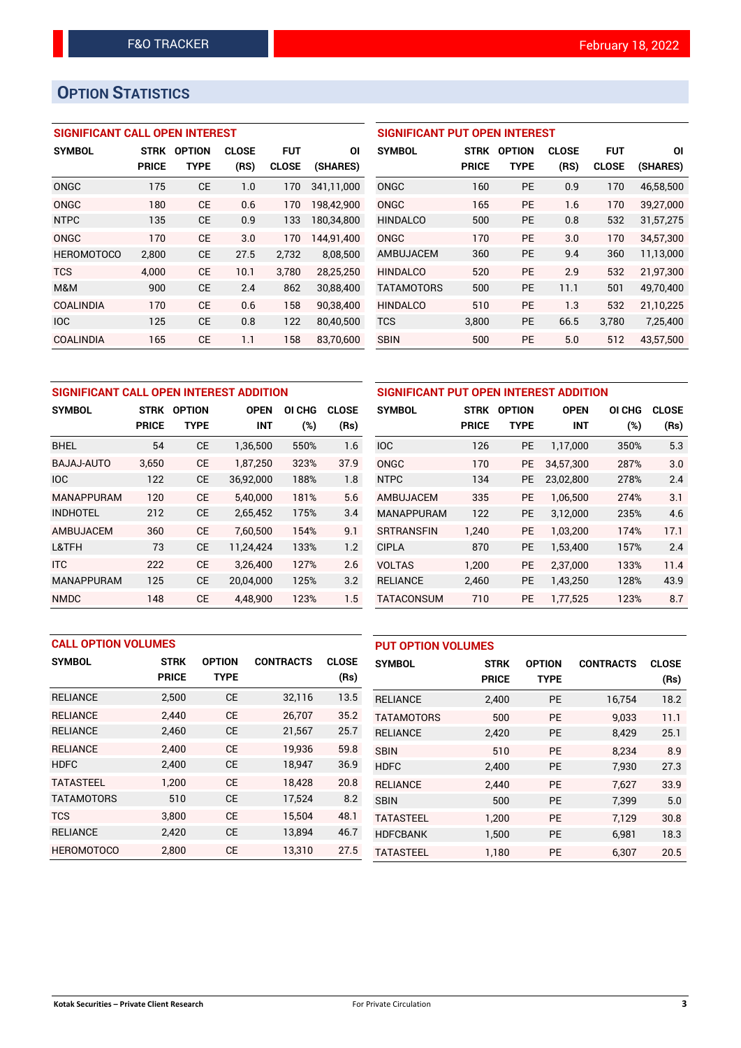# **OPTION STATISTICS**

## **SIGNIFICANT CALL OPEN INTEREST**

| <b>SYMBOL</b>     | <b>STRK</b>  | <b>OPTION</b> | <b>CLOSE</b> | <b>FUT</b>   | ΟI         |
|-------------------|--------------|---------------|--------------|--------------|------------|
|                   | <b>PRICE</b> | <b>TYPE</b>   | (RS)         | <b>CLOSE</b> | (SHARES)   |
| ONGC              | 175          | <b>CE</b>     | 1.0          | 170          | 341,11,000 |
| ONGC              | 180          | CE            | 0.6          | 170          | 198,42,900 |
| <b>NTPC</b>       | 135          | CE            | 0.9          | 133          | 180,34,800 |
| ONGC              | 170          | CF            | 3.0          | 170          | 144.91.400 |
| <b>HEROMOTOCO</b> | 2,800        | CE            | 27.5         | 2,732        | 8,08,500   |
| <b>TCS</b>        | 4.000        | CF            | 10.1         | 3.780        | 28.25.250  |
| M&M               | 900          | СE            | 24           | 862          | 30,88,400  |
| <b>COALINDIA</b>  | 170          | CF            | 0.6          | 158          | 90,38,400  |
| <b>IOC</b>        | 125          | <b>CE</b>     | 0.8          | 122          | 80.40.500  |
| COALINDIA         | 165          | СE            | 1.1          | 158          | 83.70.600  |

## **SIGNIFICANT PUT OPEN INTEREST**

| <b>SYMBOL</b>     | <b>STRK</b><br><b>PRICE</b> | <b>OPTION</b><br>TYPE | <b>CLOSE</b><br>(RS) | <b>FUT</b><br><b>CLOSE</b> | ΟI<br>(SHARES) |
|-------------------|-----------------------------|-----------------------|----------------------|----------------------------|----------------|
| ONGC              | 160                         | PF                    | 0.9                  | 170                        | 46,58,500      |
| ONGC              | 165                         | PE                    | 1.6                  | 170                        | 39,27,000      |
| <b>HINDALCO</b>   | 500                         | <b>PE</b>             | 0.8                  | 532                        | 31,57,275      |
| ONGC              | 170                         | PF                    | 3.0                  | 170                        | 34.57.300      |
| AMBUJACEM         | 360                         | <b>PE</b>             | 9.4                  | 360                        | 11,13,000      |
| <b>HINDALCO</b>   | 520                         | PF                    | 2.9                  | 532                        | 21,97,300      |
| <b>TATAMOTORS</b> | 500                         | <b>PE</b>             | 11.1                 | 501                        | 49,70,400      |
| <b>HINDALCO</b>   | 510                         | <b>PE</b>             | 1.3                  | 532                        | 21,10,225      |
| <b>TCS</b>        | 3,800                       | <b>PE</b>             | 66.5                 | 3,780                      | 7,25,400       |
| <b>SBIN</b>       | 500                         | <b>PE</b>             | 5.0                  | 512                        | 43,57,500      |

| SIGNIFICANT CALL OPEN INTEREST ADDITION |              |               |             |        |              |                    |  |  |
|-----------------------------------------|--------------|---------------|-------------|--------|--------------|--------------------|--|--|
| <b>SYMBOL</b>                           | <b>STRK</b>  | <b>OPTION</b> | <b>OPEN</b> | OI CHG | <b>CLOSE</b> | <b>SYMBO</b>       |  |  |
|                                         | <b>PRICE</b> | <b>TYPE</b>   | <b>INT</b>  | $(\%)$ | (Rs)         |                    |  |  |
| <b>BHEL</b>                             | 54           | <b>CE</b>     | 1,36,500    | 550%   | 1.6          | <b>IOC</b>         |  |  |
| <b>BAJAJ-AUTO</b>                       | 3,650        | <b>CE</b>     | 1,87,250    | 323%   | 37.9         | <b>ONGC</b>        |  |  |
| <b>IOC</b>                              | 122          | <b>CE</b>     | 36,92,000   | 188%   | 1.8          | <b>NTPC</b>        |  |  |
| <b>MANAPPURAM</b>                       | 120          | <b>CE</b>     | 5,40,000    | 181%   | 5.6          | <b>AMBUJ</b>       |  |  |
| <b>INDHOTEL</b>                         | 212          | <b>CE</b>     | 2,65,452    | 175%   | 3.4          | <b>MANAF</b>       |  |  |
| AMBUJACEM                               | 360          | <b>CE</b>     | 7,60,500    | 154%   | 9.1          | <b>SRTRAI</b>      |  |  |
| L&TFH                                   | 73           | <b>CE</b>     | 11,24,424   | 133%   | 1.2          | <b>CIPLA</b>       |  |  |
| <b>ITC</b>                              | 222          | <b>CE</b>     | 3,26,400    | 127%   | 2.6          | <b>VOLTAS</b>      |  |  |
| <b>MANAPPURAM</b>                       | 125          | <b>CE</b>     | 20.04.000   | 125%   | 3.2          | <b>RELIAN</b>      |  |  |
| <b>NMDC</b>                             | 148          | <b>CE</b>     | 4,48,900    | 123%   | 1.5          | TATAC <sub>0</sub> |  |  |

| SIGNIFICANT PUT OPEN INTEREST ADDITION |              |               |             |        |              |  |  |  |
|----------------------------------------|--------------|---------------|-------------|--------|--------------|--|--|--|
| <b>SYMBOL</b>                          | <b>STRK</b>  | <b>OPTION</b> | <b>OPEN</b> | OI CHG | <b>CLOSE</b> |  |  |  |
|                                        | <b>PRICE</b> | TYPE          | INT         | (%)    | (Rs)         |  |  |  |
| <b>IOC</b>                             | 126          | <b>PE</b>     | 1,17,000    | 350%   | 5.3          |  |  |  |
| ONGC                                   | 170          | <b>PE</b>     | 34,57,300   | 287%   | 3.0          |  |  |  |
| <b>NTPC</b>                            | 134          | <b>PE</b>     | 23,02,800   | 278%   | 2.4          |  |  |  |
| AMBUJACEM                              | 335          | <b>PE</b>     | 1,06,500    | 274%   | 3.1          |  |  |  |
| <b>MANAPPURAM</b>                      | 122          | <b>PE</b>     | 3,12,000    | 235%   | 4.6          |  |  |  |
| <b>SRTRANSFIN</b>                      | 1,240        | <b>PE</b>     | 1,03,200    | 174%   | 17.1         |  |  |  |
| <b>CIPLA</b>                           | 870          | <b>PE</b>     | 1,53,400    | 157%   | 2.4          |  |  |  |
| <b>VOLTAS</b>                          | 1,200        | <b>PE</b>     | 2,37,000    | 133%   | 11.4         |  |  |  |
| <b>RELIANCE</b>                        | 2,460        | <b>PE</b>     | 1,43,250    | 128%   | 43.9         |  |  |  |
| <b>TATACONSUM</b>                      | 710          | <b>PE</b>     | 1,77,525    | 123%   | 8.7          |  |  |  |

| <b>CALL OPTION VOLUMES</b> |              |               |                  | <b>PUT OPTION VOLUMES</b> |                   |              |               |                  |              |
|----------------------------|--------------|---------------|------------------|---------------------------|-------------------|--------------|---------------|------------------|--------------|
| <b>SYMBOL</b>              | <b>STRK</b>  | <b>OPTION</b> | <b>CONTRACTS</b> | <b>CLOSE</b>              | <b>SYMBOL</b>     | <b>STRK</b>  | <b>OPTION</b> | <b>CONTRACTS</b> | <b>CLOSE</b> |
|                            | <b>PRICE</b> | <b>TYPE</b>   |                  | (Rs)                      |                   | <b>PRICE</b> | <b>TYPE</b>   |                  | (Rs)         |
| <b>RELIANCE</b>            | 2,500        | <b>CE</b>     | 32,116           | 13.5                      | <b>RELIANCE</b>   | 2,400        | <b>PE</b>     | 16.754           | 18.2         |
| <b>RELIANCE</b>            | 2.440        | <b>CE</b>     | 26,707           | 35.2                      | <b>TATAMOTORS</b> | 500          | <b>PE</b>     | 9.033            | 11.1         |
| <b>RELIANCE</b>            | 2,460        | <b>CE</b>     | 21,567           | 25.7                      | <b>RELIANCE</b>   | 2,420        | <b>PE</b>     | 8,429            | 25.1         |
| <b>RELIANCE</b>            | 2,400        | <b>CE</b>     | 19,936           | 59.8                      | <b>SBIN</b>       | 510          | <b>PE</b>     | 8.234            | 8.9          |
| <b>HDFC</b>                | 2,400        | <b>CE</b>     | 18,947           | 36.9                      | <b>HDFC</b>       | 2,400        | <b>PE</b>     | 7,930            | 27.3         |
| <b>TATASTEEL</b>           | 1.200        | <b>CE</b>     | 18.428           | 20.8                      | <b>RELIANCE</b>   | 2,440        | <b>PE</b>     | 7.627            | 33.9         |
| <b>TATAMOTORS</b>          | 510          | <b>CE</b>     | 17,524           | 8.2                       | <b>SBIN</b>       | 500          | <b>PE</b>     | 7,399            | 5.0          |
| <b>TCS</b>                 | 3.800        | <b>CE</b>     | 15,504           | 48.1                      | <b>TATASTEEL</b>  | 1,200        | <b>PE</b>     | 7.129            | 30.8         |
| <b>RELIANCE</b>            | 2,420        | <b>CE</b>     | 13,894           | 46.7                      | <b>HDFCBANK</b>   | 1,500        | <b>PE</b>     | 6,981            | 18.3         |
| <b>HEROMOTOCO</b>          | 2,800        | <b>CE</b>     | 13,310           | 27.5                      | <b>TATASTEEL</b>  | 1,180        | PE            | 6,307            | 20.5         |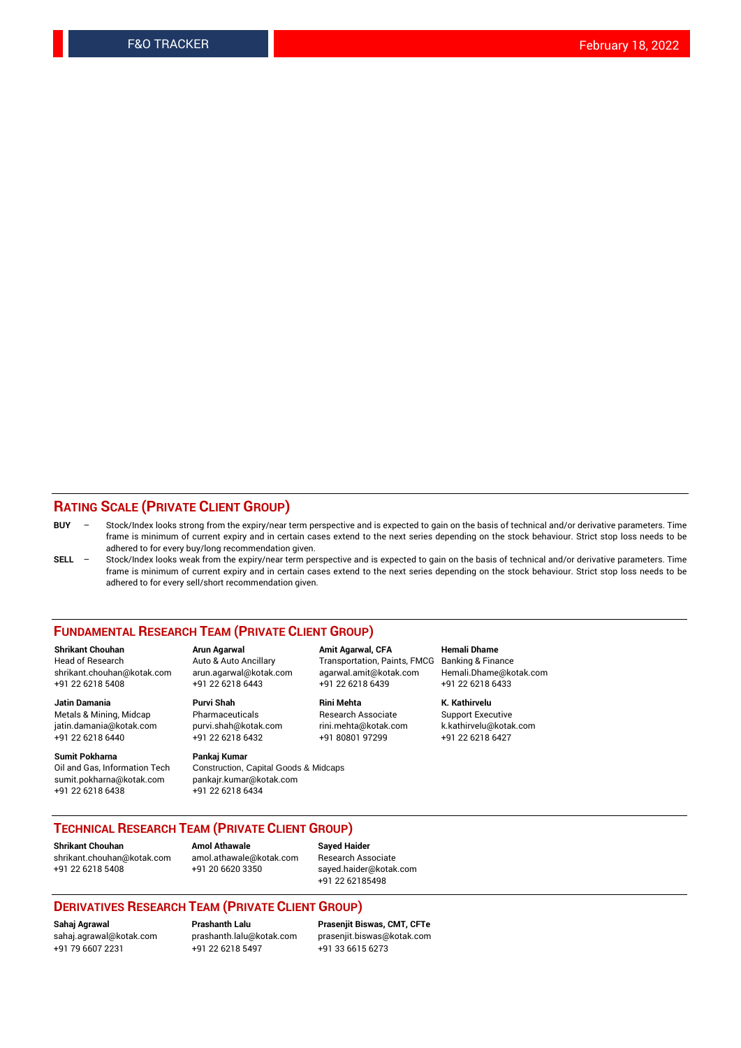#### **RATING SCALE (PRIVATE CLIENT GROUP)**

- **BUY**  Stock/Index looks strong from the expiry/near term perspective and is expected to gain on the basis of technical and/or derivative parameters. Time frame is minimum of current expiry and in certain cases extend to the next series depending on the stock behaviour. Strict stop loss needs to be adhered to for every buy/long recommendation given.
- **SELL** Stock/Index looks weak from the expiry/near term perspective and is expected to gain on the basis of technical and/or derivative parameters. Time frame is minimum of current expiry and in certain cases extend to the next series depending on the stock behaviour. Strict stop loss needs to be adhered to for every sell/short recommendation given.

#### **FUNDAMENTAL RESEARCH TEAM (PRIVATE CLIENT GROUP)**

**Shrikant Chouhan Arun Agarwal Amit Agarwal, CFA Hemali Dhame** shrikant.chouhan@kotak.com arun.agarwal@kotak.com agarwal.amit@kotak.com Hemali.Dhame@kotak.com +91 22 6218 5408 +91 22 6218 6443 +91 22 6218 6439 +91 22 6218 6433

Metals & Mining, Midcap Pharmaceuticals Pharmaceuticals Research Associate Support Executive<br>
iatin.damania@kotak.com purvi.shah@kotak.com rini.mehta@kotak.com k.kathirvelu@kotak.com jatin.damania@kotak.com

**Sumit Pokharna** Pankaj Kumar<br>Oil and Gas, Information Tech Construction, Q sumit.pokharna@kotak.com pankajr.kumar@kotak.com

**Jatin Damania Purvi Shah Rini Mehta K. Kathirvelu** +91 22 6218 6440 +91 22 6218 6432 +91 80801 97299 +91 22 6218 6427

Construction, Capital Goods & Midcaps +91 22 6218 6438 +91 22 6218 6434

Transportation, Paints, FMCG

### **TECHNICAL RESEARCH TEAM (PRIVATE CLIENT GROUP)**

**Shrikant Chouhan Amol Athawale Sayed Haider** [shrikant.chouhan@kotak.com](mailto:shrikant.chouhan@kotak.com) [amol.athawale@kotak.com](mailto:amol.athawale@kotak.com) Research Associate +91 22 6218 5408 +91 20 6620 3350 [sayed.haider@kotak.com](mailto:sayed.haider@kotak.com)

+91 22 62185498

#### **DERIVATIVES RESEARCH TEAM (PRIVATE CLIENT GROUP)**

+91 79 6607 2231 +91 22 6218 5497 +91 33 6615 6273

**Sahaj Agrawal Prashanth Lalu Prasenjit Biswas, CMT, CFTe** [prasenjit.biswas@kotak.com](mailto:prasenjit.biswas@kotak.com)